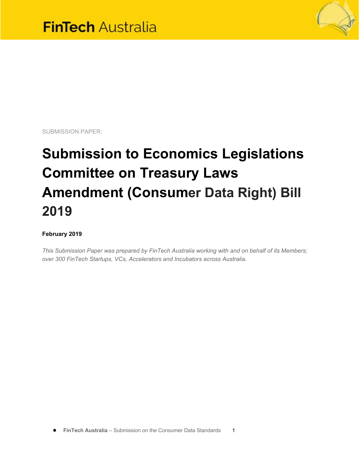

SUBMISSION PAPER:

# **Submission to Economics Legislations Committee on Treasury Laws Amendment (Consumer Data Right) Bill 2019**

#### **February 2019**

*This Submission Paper was prepared by FinTech Australia working with and on behalf of its Members; over 300 FinTech Startups, VCs, Accelerators and Incubators across Australia.*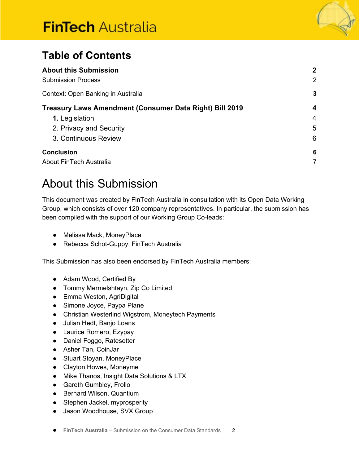# **FinTech Australia**



## **Table of Contents**

| <b>About this Submission</b><br><b>Submission Process</b> | $\mathbf{2}$<br>2 |
|-----------------------------------------------------------|-------------------|
|                                                           |                   |
| Treasury Laws Amendment (Consumer Data Right) Bill 2019   | 4                 |
| 1. Legislation                                            | 4                 |
| 2. Privacy and Security                                   | 5                 |
| 3. Continuous Review                                      | 6                 |
| <b>Conclusion</b>                                         | 6                 |
| About FinTech Australia                                   | 7                 |

## <span id="page-1-0"></span>About this Submission

This document was created by FinTech Australia in consultation with its Open Data Working Group, which consists of over 120 company representatives. In particular, the submission has been compiled with the support of our Working Group Co-leads:

- Melissa Mack, MoneyPlace
- Rebecca Schot-Guppy, FinTech Australia

This Submission has also been endorsed by FinTech Australia members:

- Adam Wood, Certified By
- Tommy Mermelshtayn, Zip Co Limited
- Emma Weston, AgriDigital
- Simone Joyce, Paypa Plane
- Christian Westerlind Wigstrom, Moneytech Payments
- Julian Hedt, Banjo Loans
- Laurice Romero, Ezypay
- Daniel Foggo, Ratesetter
- Asher Tan, CoinJar
- Stuart Stoyan, MoneyPlace
- Clayton Howes, Moneyme
- Mike Thanos, Insight Data Solutions & LTX
- Gareth Gumbley, Frollo
- Bernard Wilson, Quantium
- Stephen Jackel, myprosperity
- Jason Woodhouse, SVX Group
- **FinTech Australia** Submission on the Consumer Data Standards 2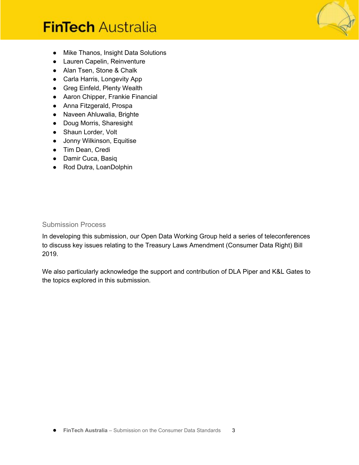# **FinTech Australia**

- Mike Thanos, Insight Data Solutions
- Lauren Capelin, Reinventure
- Alan Tsen, Stone & Chalk
- Carla Harris, Longevity App
- Greg Einfeld, Plenty Wealth
- Aaron Chipper, Frankie Financial
- Anna Fitzgerald, Prospa
- Naveen Ahluwalia, Brighte
- Doug Morris, Sharesight
- Shaun Lorder, Volt
- Jonny Wilkinson, Equitise
- Tim Dean, Credi
- Damir Cuca, Basiq
- Rod Dutra, LoanDolphin

#### <span id="page-2-0"></span>Submission Process

In developing this submission, our Open Data Working Group held a series of teleconferences to discuss key issues relating to the Treasury Laws Amendment (Consumer Data Right) Bill 2019.

<span id="page-2-1"></span>We also particularly acknowledge the support and contribution of DLA Piper and K&L Gates to the topics explored in this submission.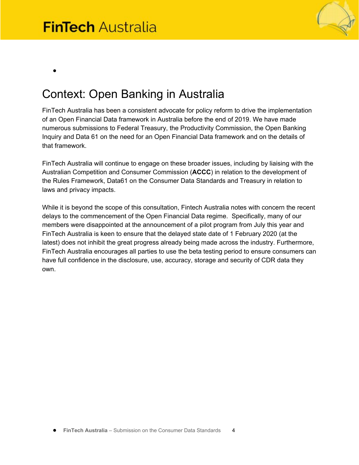●



# Context: Open Banking in Australia

FinTech Australia has been a consistent advocate for policy reform to drive the implementation of an Open Financial Data framework in Australia before the end of 2019. We have made numerous submissions to Federal Treasury, the Productivity Commission, the Open Banking Inquiry and Data 61 on the need for an Open Financial Data framework and on the details of that framework.

FinTech Australia will continue to engage on these broader issues, including by liaising with the Australian Competition and Consumer Commission (**ACCC**) in relation to the development of the Rules Framework, Data61 on the Consumer Data Standards and Treasury in relation to laws and privacy impacts.

While it is beyond the scope of this consultation, Fintech Australia notes with concern the recent delays to the commencement of the Open Financial Data regime. Specifically, many of our members were disappointed at the announcement of a pilot program from July this year and FinTech Australia is keen to ensure that the delayed state date of 1 February 2020 (at the latest) does not inhibit the great progress already being made across the industry. Furthermore, FinTech Australia encourages all parties to use the beta testing period to ensure consumers can have full confidence in the disclosure, use, accuracy, storage and security of CDR data they own.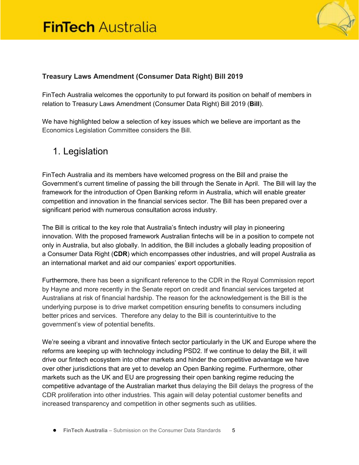

#### <span id="page-4-0"></span>**Treasury Laws Amendment (Consumer Data Right) Bill 2019**

FinTech Australia welcomes the opportunity to put forward its position on behalf of members in relation to Treasury Laws Amendment (Consumer Data Right) Bill 2019 (**Bill**).

We have highlighted below a selection of key issues which we believe are important as the Economics Legislation Committee considers the Bill.

## <span id="page-4-1"></span>1. Legislation

FinTech Australia and its members have welcomed progress on the Bill and praise the Government's current timeline of passing the bill through the Senate in April. The Bill will lay the framework for the introduction of Open Banking reform in Australia, which will enable greater competition and innovation in the financial services sector. The Bill has been prepared over a significant period with numerous consultation across industry.

The Bill is critical to the key role that Australia's fintech industry will play in pioneering innovation. With the proposed framework Australian fintechs will be in a position to compete not only in Australia, but also globally. In addition, the Bill includes a globally leading proposition of a Consumer Data Right (**CDR**) which encompasses other industries, and will propel Australia as an international market and aid our companies' export opportunities.

Furthermore, there has been a significant reference to the CDR in the Royal Commission report by Hayne and more recently in the Senate report on credit and financial services targeted at Australians at risk of financial hardship. The reason for the acknowledgement is the Bill is the underlying purpose is to drive market competition ensuring benefits to consumers including better prices and services. Therefore any delay to the Bill is counterintuitive to the government's view of potential benefits.

We're seeing a vibrant and innovative fintech sector particularly in the UK and Europe where the reforms are keeping up with technology including PSD2. If we continue to delay the Bill, it will drive our fintech ecosystem into other markets and hinder the competitive advantage we have over other jurisdictions that are yet to develop an Open Banking regime. Furthermore, other markets such as the UK and EU are progressing their open banking regime reducing the competitive advantage of the Australian market thus delaying the Bill delays the progress of the CDR proliferation into other industries. This again will delay potential customer benefits and increased transparency and competition in other segments such as utilities.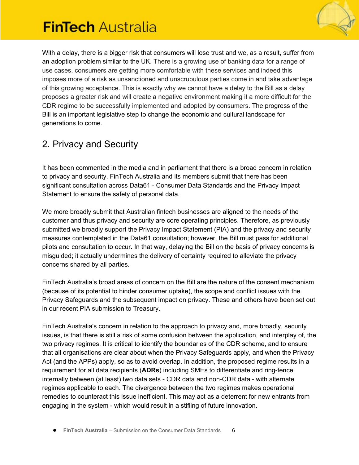

With a delay, there is a bigger risk that consumers will lose trust and we, as a result, suffer from an adoption problem similar to the UK. There is a growing use of banking data for a range of use cases, consumers are getting more comfortable with these services and indeed this imposes more of a risk as unsanctioned and unscrupulous parties come in and take advantage of this growing acceptance. This is exactly why we cannot have a delay to the Bill as a delay proposes a greater risk and will create a negative environment making it a more difficult for the CDR regime to be successfully implemented and adopted by consumers. The progress of the Bill is an important legislative step to change the economic and cultural landscape for generations to come.

## <span id="page-5-0"></span>2. Privacy and Security

It has been commented in the media and in parliament that there is a broad concern in relation to privacy and security. FinTech Australia and its members submit that there has been significant consultation across Data61 - Consumer Data Standards and the Privacy Impact Statement to ensure the safety of personal data.

We more broadly submit that Australian fintech businesses are aligned to the needs of the customer and thus privacy and security are core operating principles. Therefore, as previously submitted we broadly support the Privacy Impact Statement (PIA) and the privacy and security measures contemplated in the Data61 consultation; however, the Bill must pass for additional pilots and consultation to occur. In that way, delaying the Bill on the basis of privacy concerns is misguided; it actually undermines the delivery of certainty required to alleviate the privacy concerns shared by all parties.

FinTech Australia's broad areas of concern on the Bill are the nature of the consent mechanism (because of its potential to hinder consumer uptake), the scope and conflict issues with the Privacy Safeguards and the subsequent impact on privacy. These and others have been set out in our recent PIA submission to Treasury.

FinTech Australia's concern in relation to the approach to privacy and, more broadly, security issues, is that there is still a risk of some confusion between the application, and interplay of, the two privacy regimes. It is critical to identify the boundaries of the CDR scheme, and to ensure that all organisations are clear about when the Privacy Safeguards apply, and when the Privacy Act (and the APPs) apply, so as to avoid overlap. In addition, the proposed regime results in a requirement for all data recipients (**ADRs**) including SMEs to differentiate and ring-fence internally between (at least) two data sets - CDR data and non-CDR data - with alternate regimes applicable to each. The divergence between the two regimes makes operational remedies to counteract this issue inefficient. This may act as a deterrent for new entrants from engaging in the system - which would result in a stifling of future innovation.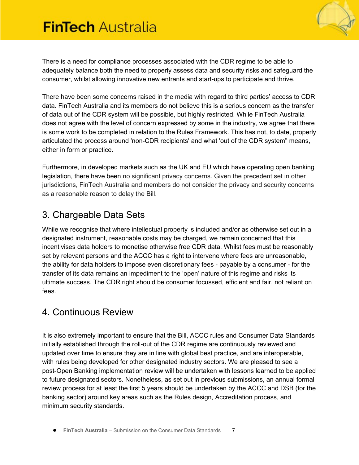

There is a need for compliance processes associated with the CDR regime to be able to adequately balance both the need to properly assess data and security risks and safeguard the consumer, whilst allowing innovative new entrants and start-ups to participate and thrive.

There have been some concerns raised in the media with regard to third parties' access to CDR data. FinTech Australia and its members do not believe this is a serious concern as the transfer of data out of the CDR system will be possible, but highly restricted. While FinTech Australia does not agree with the level of concern expressed by some in the industry, we agree that there is some work to be completed in relation to the Rules Framework. This has not, to date, properly articulated the process around 'non-CDR recipients' and what 'out of the CDR system" means, either in form or practice.

Furthermore, in developed markets such as the UK and EU which have operating open banking legislation, there have been no significant privacy concerns. Given the precedent set in other jurisdictions, FinTech Australia and members do not consider the privacy and security concerns as a reasonable reason to delay the Bill.

## <span id="page-6-0"></span>3. Chargeable Data Sets

While we recognise that where intellectual property is included and/or as otherwise set out in a designated instrument, reasonable costs may be charged, we remain concerned that this incentivises data holders to monetise otherwise free CDR data. Whilst fees must be reasonably set by relevant persons and the ACCC has a right to intervene where fees are unreasonable, the ability for data holders to impose even discretionary fees - payable by a consumer - for the transfer of its data remains an impediment to the 'open' nature of this regime and risks its ultimate success. The CDR right should be consumer focussed, efficient and fair, not reliant on fees.

### 4. Continuous Review

It is also extremely important to ensure that the Bill, ACCC rules and Consumer Data Standards initially established through the roll-out of the CDR regime are continuously reviewed and updated over time to ensure they are in line with global best practice, and are interoperable, with rules being developed for other designated industry sectors. We are pleased to see a post-Open Banking implementation review will be undertaken with lessons learned to be applied to future designated sectors. Nonetheless, as set out in previous submissions, an annual formal review process for at least the first 5 years should be undertaken by the ACCC and DSB (for the banking sector) around key areas such as the Rules design, Accreditation process, and minimum security standards.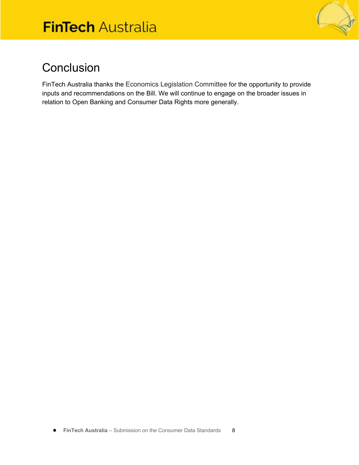

## <span id="page-7-0"></span>**Conclusion**

FinTech Australia thanks the Economics Legislation Committee for the opportunity to provide inputs and recommendations on the Bill. We will continue to engage on the broader issues in relation to Open Banking and Consumer Data Rights more generally.